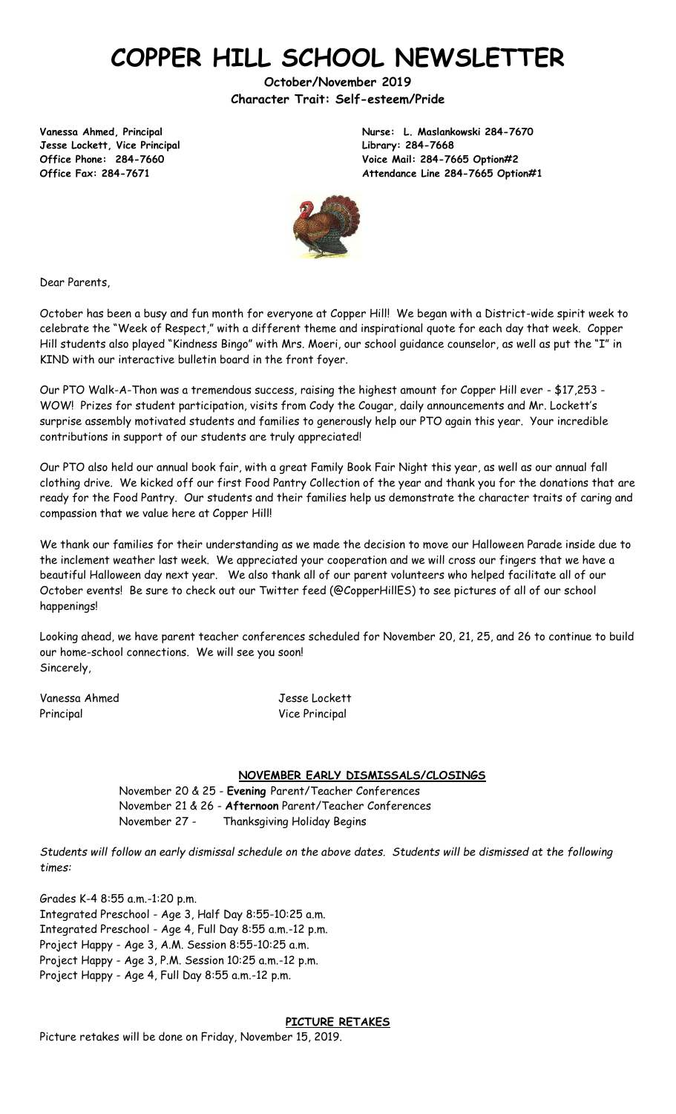# **COPPER HILL SCHOOL NEWSLETTER**

**October/November 2019 Character Trait: Self-esteem/Pride**

**Jesse Lockett, Vice Principal Library: 284-7668**

**Vanessa Ahmed, Principal Nurse: L. Maslankowski 284-7670 Office Phone: 284-7660 Voice Mail: 284-7665 Option#2 Office Fax: 284-7671 Attendance Line 284-7665 Option#1**



Dear Parents,

October has been a busy and fun month for everyone at Copper Hill! We began with a District-wide spirit week to celebrate the "Week of Respect," with a different theme and inspirational quote for each day that week. Copper Hill students also played "Kindness Bingo" with Mrs. Moeri, our school guidance counselor, as well as put the "I" in KIND with our interactive bulletin board in the front foyer.

Our PTO Walk-A-Thon was a tremendous success, raising the highest amount for Copper Hill ever - \$17,253 - WOW! Prizes for student participation, visits from Cody the Cougar, daily announcements and Mr. Lockett's surprise assembly motivated students and families to generously help our PTO again this year. Your incredible contributions in support of our students are truly appreciated!

Our PTO also held our annual book fair, with a great Family Book Fair Night this year, as well as our annual fall clothing drive. We kicked off our first Food Pantry Collection of the year and thank you for the donations that are ready for the Food Pantry. Our students and their families help us demonstrate the character traits of caring and compassion that we value here at Copper Hill!

We thank our families for their understanding as we made the decision to move our Halloween Parade inside due to the inclement weather last week. We appreciated your cooperation and we will cross our fingers that we have a beautiful Halloween day next year. We also thank all of our parent volunteers who helped facilitate all of our October events! Be sure to check out our Twitter feed (@CopperHillES) to see pictures of all of our school happenings!

Looking ahead, we have parent teacher conferences scheduled for November 20, 21, 25, and 26 to continue to build our home-school connections. We will see you soon! Sincerely,

Vanessa Ahmed Jesse Lockett Principal Vice Principal Vice Principal

#### **NOVEMBER EARLY DISMISSALS/CLOSINGS**

November 20 & 25 - **Evening** Parent/Teacher Conferences November 21 & 26 - **Afternoon** Parent/Teacher Conferences November 27 - Thanksgiving Holiday Begins

*Students will follow an early dismissal schedule on the above dates. Students will be dismissed at the following times:*

Grades K-4 8:55 a.m.-1:20 p.m. Integrated Preschool - Age 3, Half Day 8:55-10:25 a.m. Integrated Preschool - Age 4, Full Day 8:55 a.m.-12 p.m. Project Happy - Age 3, A.M. Session 8:55-10:25 a.m. Project Happy - Age 3, P.M. Session 10:25 a.m.-12 p.m. Project Happy - Age 4, Full Day 8:55 a.m.-12 p.m.

Picture retakes will be done on Friday, November 15, 2019.